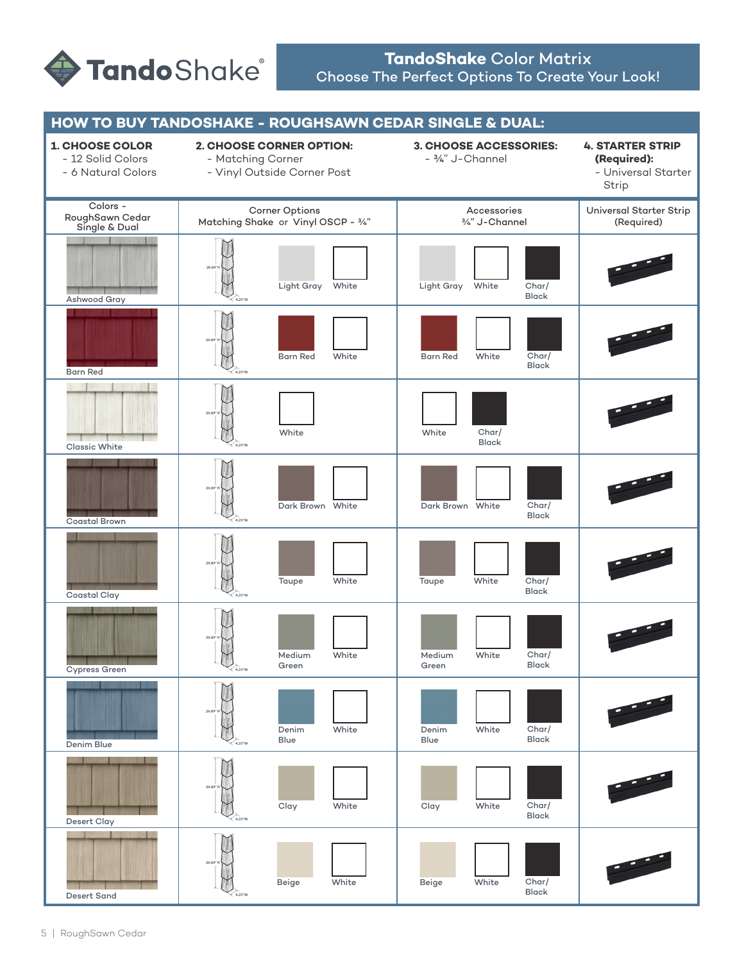

## **TandoShake** Color Matrix Choose The Perfect Options To Create Your Look!

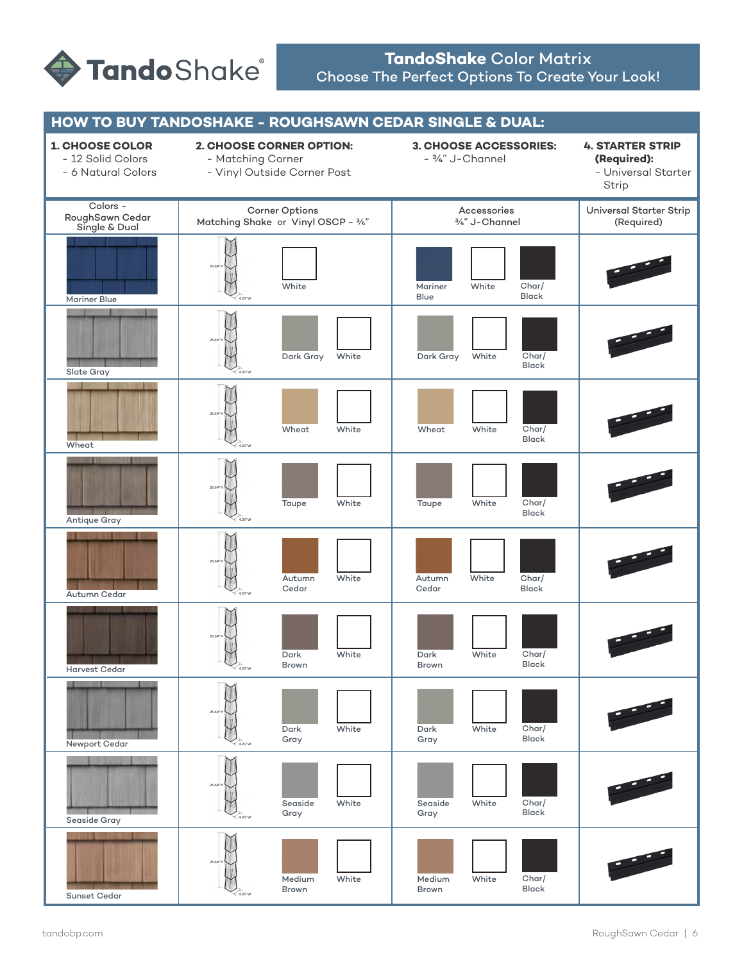

## **TandoShake** Color Matrix Choose The Perfect Options To Create Your Look!